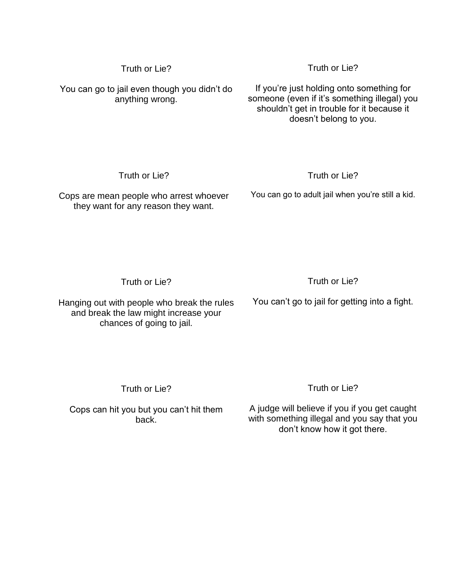You can go to jail even though you didn't do anything wrong.

If you're just holding onto something for someone (even if it's something illegal) you shouldn't get in trouble for it because it

Truth or Lie?

doesn't belong to you.

Truth or Lie?

## Truth or Lie?

Cops are mean people who arrest whoever they want for any reason they want.

You can go to adult jail when you're still a kid.

Truth or Lie?

Hanging out with people who break the rules and break the law might increase your chances of going to jail.

Truth or Lie?

You can't go to jail for getting into a fight.

Truth or Lie?

Cops can hit you but you can't hit them back.

Truth or Lie?

A judge will believe if you if you get caught with something illegal and you say that you don't know how it got there.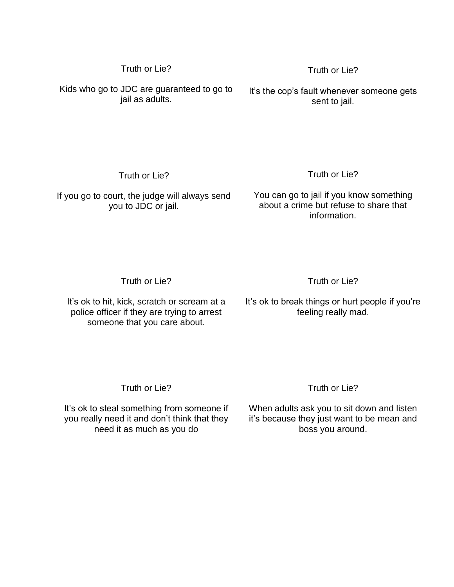Kids who go to JDC are guaranteed to go to jail as adults.

It's the cop's fault whenever someone gets sent to jail.

Truth or Lie?

Truth or Lie?

Truth or Lie?

If you go to court, the judge will always send you to JDC or jail.

You can go to jail if you know something about a crime but refuse to share that information.

Truth or Lie?

Truth or Lie?

It's ok to hit, kick, scratch or scream at a police officer if they are trying to arrest someone that you care about.

It's ok to break things or hurt people if you're feeling really mad.

Truth or Lie?

It's ok to steal something from someone if you really need it and don't think that they need it as much as you do

## Truth or Lie?

When adults ask you to sit down and listen it's because they just want to be mean and boss you around.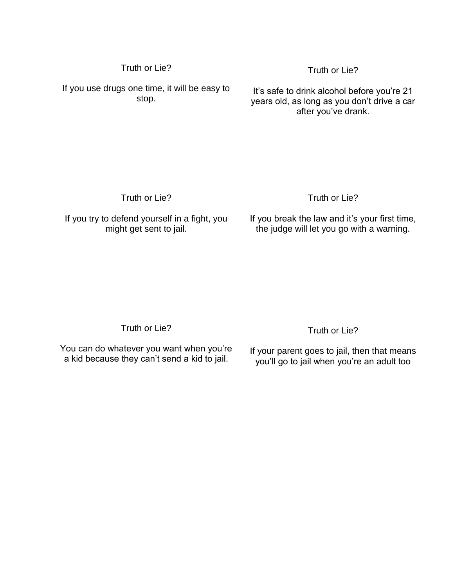If you use drugs one time, it will be easy to stop.

It's safe to drink alcohol before you're 21 years old, as long as you don't drive a car after you've drank.

Truth or Lie?

Truth or Lie?

Truth or Lie?

If you try to defend yourself in a fight, you might get sent to jail.

If you break the law and it's your first time, the judge will let you go with a warning.

Truth or Lie?

You can do whatever you want when you're a kid because they can't send a kid to jail.

Truth or Lie?

If your parent goes to jail, then that means you'll go to jail when you're an adult too